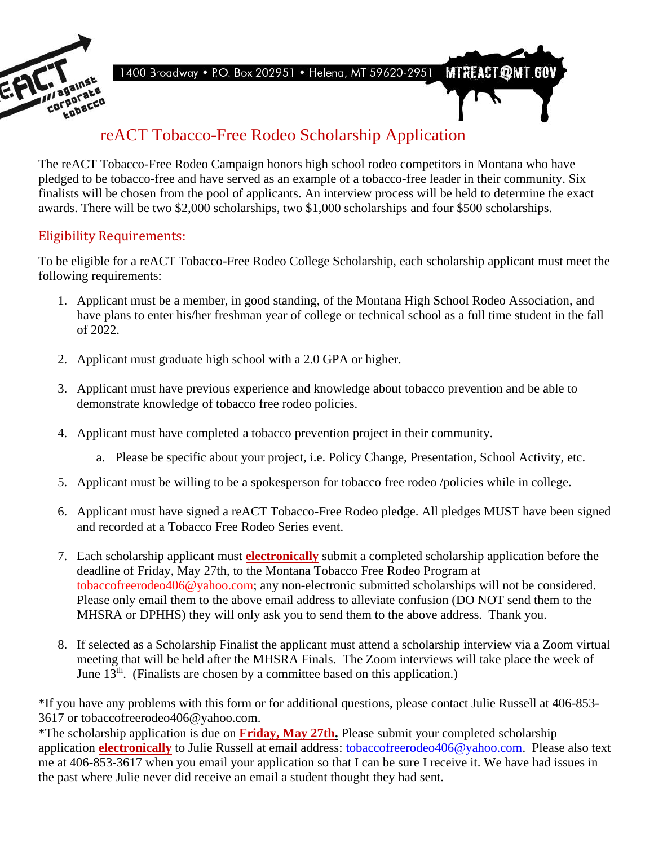

**MTREACT@MT.GOV** 1400 Broadway . P.O. Box 202951 . Helena, MT 59620-2951

### reACT Tobacco-Free Rodeo Scholarship Application

The reACT Tobacco-Free Rodeo Campaign honors high school rodeo competitors in Montana who have pledged to be tobacco-free and have served as an example of a tobacco-free leader in their community. Six finalists will be chosen from the pool of applicants. An interview process will be held to determine the exact awards. There will be two \$2,000 scholarships, two \$1,000 scholarships and four \$500 scholarships.

#### Eligibility Requirements:

To be eligible for a reACT Tobacco-Free Rodeo College Scholarship, each scholarship applicant must meet the following requirements:

- 1. Applicant must be a member, in good standing, of the Montana High School Rodeo Association, and have plans to enter his/her freshman year of college or technical school as a full time student in the fall of 2022.
- 2. Applicant must graduate high school with a 2.0 GPA or higher.
- 3. Applicant must have previous experience and knowledge about tobacco prevention and be able to demonstrate knowledge of tobacco free rodeo policies.
- 4. Applicant must have completed a tobacco prevention project in their community.
	- a. Please be specific about your project, i.e. Policy Change, Presentation, School Activity, etc.
- 5. Applicant must be willing to be a spokesperson for tobacco free rodeo /policies while in college.
- 6. Applicant must have signed a reACT Tobacco-Free Rodeo pledge. All pledges MUST have been signed and recorded at a Tobacco Free Rodeo Series event.
- 7. Each scholarship applicant must **electronically** submit a completed scholarship application before the deadline of Friday, May 27th, to the Montana Tobacco Free Rodeo Program at tobaccofreerodeo406@yahoo.com; any non-electronic submitted scholarships will not be considered. Please only email them to the above email address to alleviate confusion (DO NOT send them to the MHSRA or DPHHS) they will only ask you to send them to the above address. Thank you.
- 8. If selected as a Scholarship Finalist the applicant must attend a scholarship interview via a Zoom virtual meeting that will be held after the MHSRA Finals. The Zoom interviews will take place the week of June  $13<sup>th</sup>$ . (Finalists are chosen by a committee based on this application.)

\*If you have any problems with this form or for additional questions, please contact Julie Russell at 406-853- 3617 or tobaccofreerodeo406@yahoo.com.

\*The scholarship application is due on **Friday, May 27th.** Please submit your completed scholarship application **electronically** to Julie Russell at email address: [tobaccofreerodeo406@yahoo.com.](mailto:tobaccofreerodeo406@yahoo.com) Please also text me at 406-853-3617 when you email your application so that I can be sure I receive it. We have had issues in the past where Julie never did receive an email a student thought they had sent.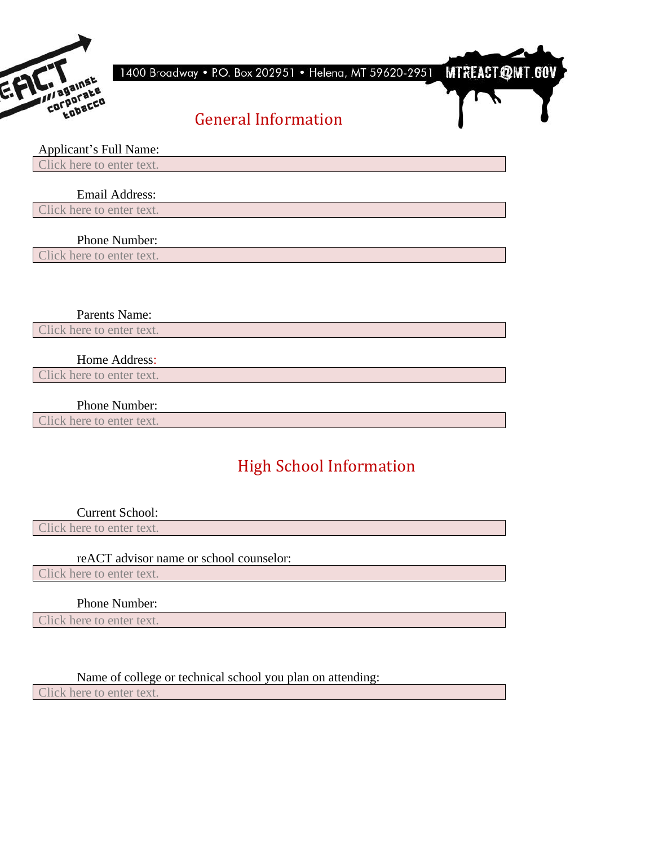

1400 Broadway • P.O. Box 202951 • Helena, MT 59620-2951

**MTREACT@MT.GOV** 

## General Information

#### Applicant's Full Name:

Click here to enter text.

#### Email Address:

Click here to enter text.

#### Phone Number:

Click here to enter text.

#### Parents Name:

Click here to enter text.

#### Home Address:

Click here to enter text.

#### Phone Number:

Click here to enter text.

# High School Information

Current School:

Click here to enter text.

#### reACT advisor name or school counselor:

Click here to enter text.

#### Phone Number:

Click here to enter text.

#### Name of college or technical school you plan on attending:

Click here to enter text.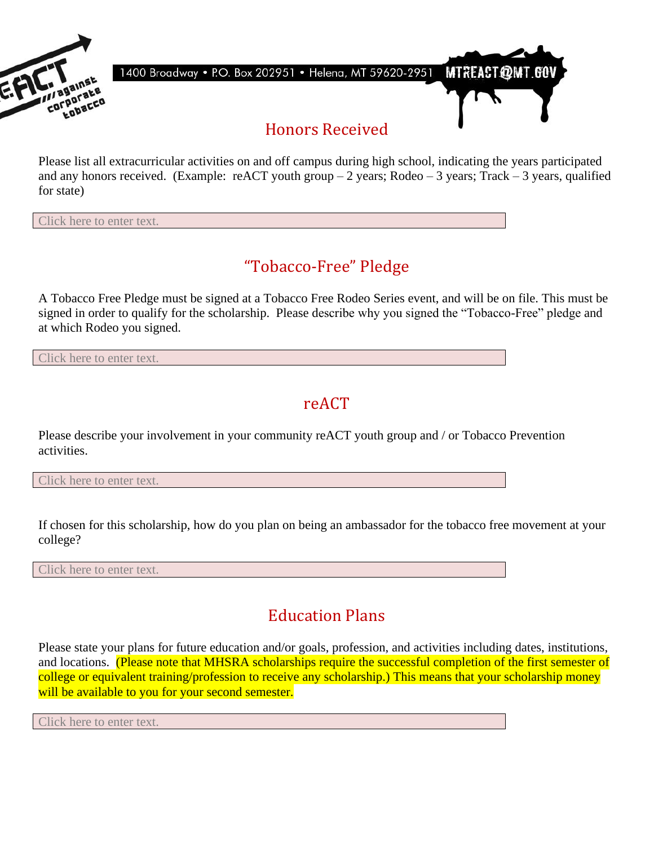

Please list all extracurricular activities on and off campus during high school, indicating the years participated and any honors received. (Example: reACT youth group  $-2$  years; Rodeo  $-3$  years; Track  $-3$  years, qualified for state)

Click here to enter text.

### "Tobacco-Free" Pledge

A Tobacco Free Pledge must be signed at a Tobacco Free Rodeo Series event, and will be on file. This must be signed in order to qualify for the scholarship. Please describe why you signed the "Tobacco-Free" pledge and at which Rodeo you signed.

Click here to enter text.

### reACT

Please describe your involvement in your community reACT youth group and / or Tobacco Prevention activities.

Click here to enter text.

If chosen for this scholarship, how do you plan on being an ambassador for the tobacco free movement at your college?

Click here to enter text.

# Education Plans

Please state your plans for future education and/or goals, profession, and activities including dates, institutions, and locations. (Please note that MHSRA scholarships require the successful completion of the first semester of college or equivalent training/profession to receive any scholarship.) This means that your scholarship money will be available to you for your second semester.

Click here to enter text.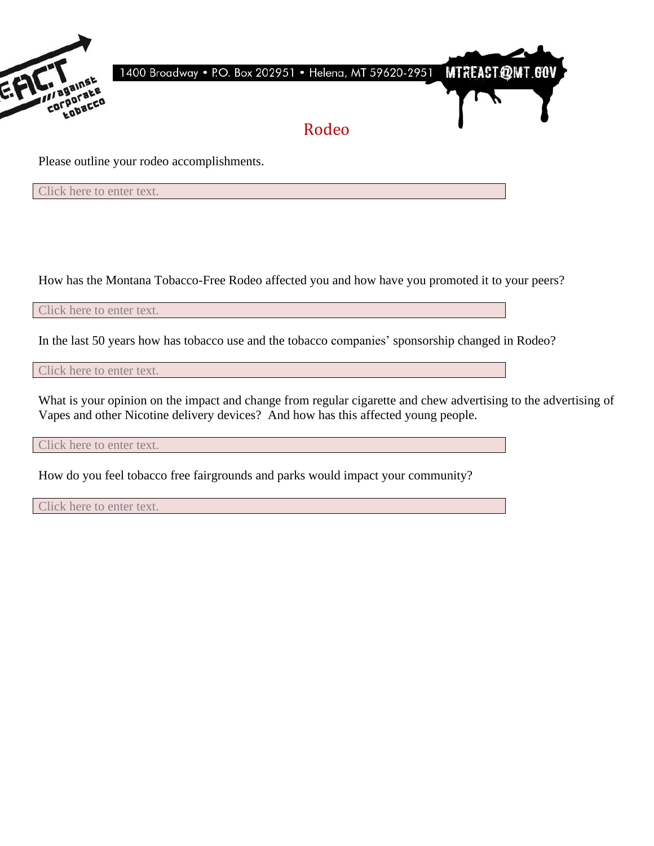

Click here to enter text.

How has the Montana Tobacco-Free Rodeo affected you and how have you promoted it to your peers?

Click here to enter text.

In the last 50 years how has tobacco use and the tobacco companies' sponsorship changed in Rodeo?

Click here to enter text.

What is your opinion on the impact and change from regular cigarette and chew advertising to the advertising of Vapes and other Nicotine delivery devices? And how has this affected young people.

Click here to enter text.

How do you feel tobacco free fairgrounds and parks would impact your community?

Click here to enter text.